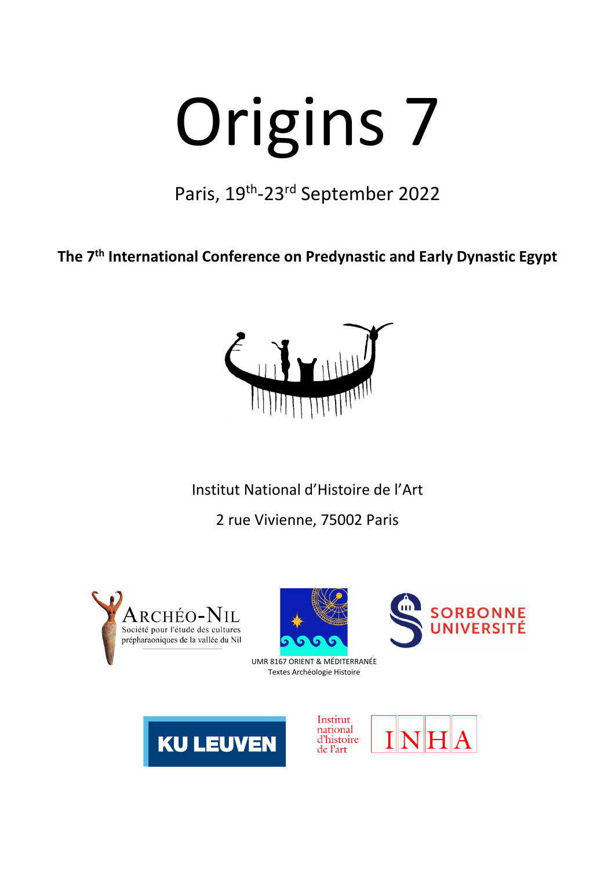# Origins 7

Paris, 19<sup>th</sup>-23<sup>rd</sup> September 2022

**The 7th International Conference on Predynastic and Early Dynastic Egypt**



Institut National d'Histoire de l'Art

2 rue Vivienne, 75002 Paris







UMR 8167 ORIENT & MÉDITERRANÉE Textes Archéologie Histoire



Institut national d'histoire de l'art

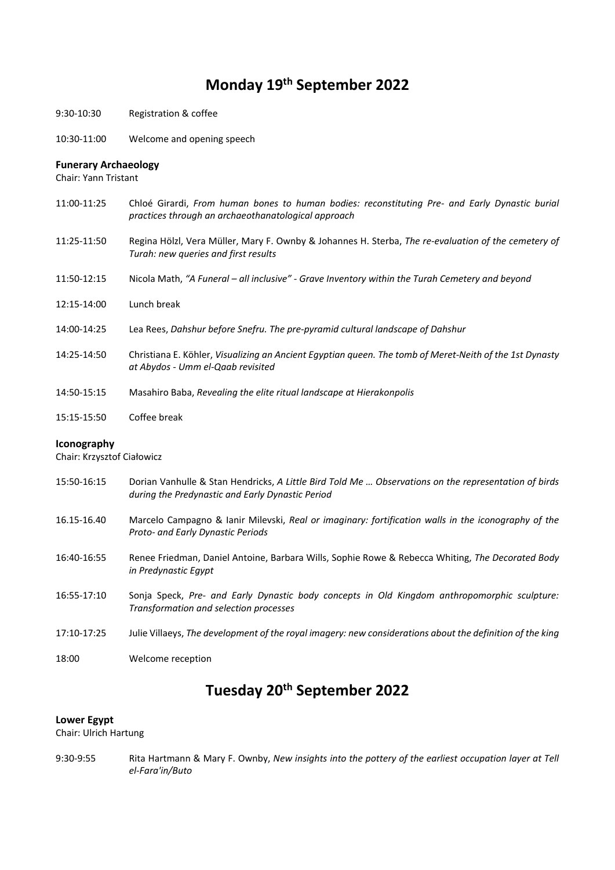## **Monday 19th September 2022**

- 9:30-10:30 Registration & coffee
- 10:30-11:00 Welcome and opening speech

#### **Funerary Archaeology**

Chair: Yann Tristant

- 11:00-11:25 Chloé Girardi, *From human bones to human bodies: reconstituting Pre- and Early Dynastic burial practices through an archaeothanatological approach*
- 11:25-11:50 Regina Hölzl, Vera Müller, Mary F. Ownby & Johannes H. Sterba, *The re-evaluation of the cemetery of Turah: new queries and first results*
- 11:50-12:15 Nicola Math, *"A Funeral – all inclusive" - Grave Inventory within the Turah Cemetery and beyond*
- 12:15-14:00 Lunch break
- 14:00-14:25 Lea Rees, *Dahshur before Snefru. The pre-pyramid cultural landscape of Dahshur*
- 14:25-14:50 Christiana E. Köhler, *Visualizing an Ancient Egyptian queen. The tomb of Meret-Neith of the 1st Dynasty at Abydos - Umm el-Qaab revisited*
- 14:50-15:15 Masahiro Baba, *Revealing the elite ritual landscape at Hierakonpolis*
- 15:15-15:50 Coffee break

#### **Iconography**

Chair: Krzysztof Ciałowicz

- 15:50-16:15 Dorian Vanhulle & Stan Hendricks, *A Little Bird Told Me … Observations on the representation of birds during the Predynastic and Early Dynastic Period*
- 16.15-16.40 Marcelo Campagno & Ianir Milevski, *Real or imaginary: fortification walls in the iconography of the Proto- and Early Dynastic Periods*
- 16:40-16:55 Renee Friedman, Daniel Antoine, Barbara Wills, Sophie Rowe & Rebecca Whiting, *The Decorated Body in Predynastic Egypt*
- 16:55-17:10 Sonja Speck, *Pre- and Early Dynastic body concepts in Old Kingdom anthropomorphic sculpture: Transformation and selection processes*
- 17:10-17:25 Julie Villaeys, *The development of the royal imagery: new considerations about the definition of the king*
- 18:00 Welcome reception

# **Tuesday 20th September 2022**

#### **Lower Egypt**

Chair: Ulrich Hartung

9:30-9:55 Rita Hartmann & Mary F. Ownby, *New insights into the pottery of the earliest occupation layer at Tell el-Fara'in/Buto*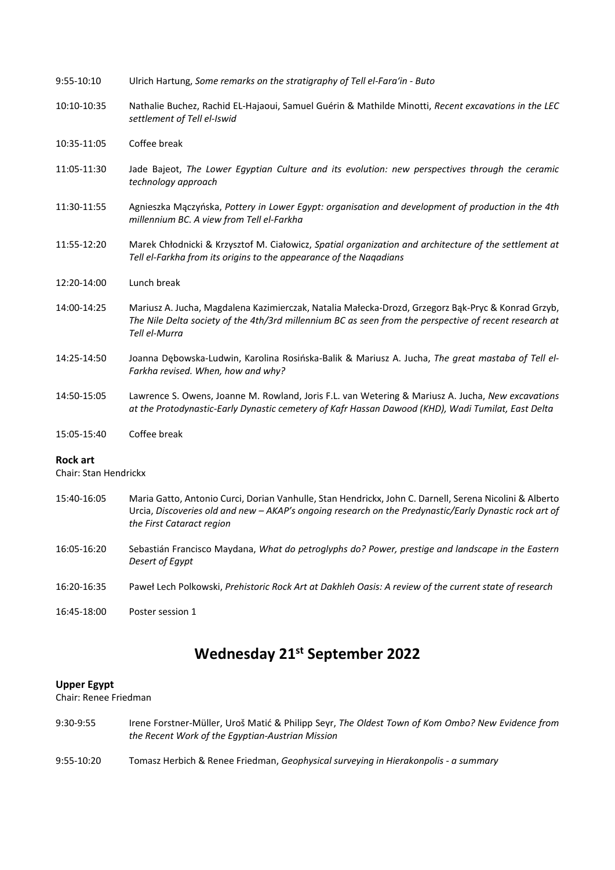| 9:55-10:10                               | Ulrich Hartung, Some remarks on the stratigraphy of Tell el-Fara'in - Buto                                                                                                                                                    |
|------------------------------------------|-------------------------------------------------------------------------------------------------------------------------------------------------------------------------------------------------------------------------------|
| 10:10-10:35                              | Nathalie Buchez, Rachid EL-Hajaoui, Samuel Guérin & Mathilde Minotti, Recent excavations in the LEC<br>settlement of Tell el-Iswid                                                                                            |
| 10:35-11:05                              | Coffee break                                                                                                                                                                                                                  |
| 11:05-11:30                              | Jade Bajeot, The Lower Egyptian Culture and its evolution: new perspectives through the ceramic<br>technology approach                                                                                                        |
| 11:30-11:55                              | Agnieszka Mączyńska, Pottery in Lower Egypt: organisation and development of production in the 4th<br>millennium BC. A view from Tell el-Farkha                                                                               |
| 11:55-12:20                              | Marek Chłodnicki & Krzysztof M. Ciałowicz, Spatial organization and architecture of the settlement at<br>Tell el-Farkha from its origins to the appearance of the Nagadians                                                   |
| 12:20-14:00                              | Lunch break                                                                                                                                                                                                                   |
| 14:00-14:25                              | Mariusz A. Jucha, Magdalena Kazimierczak, Natalia Małecka-Drozd, Grzegorz Bak-Pryc & Konrad Grzyb,<br>The Nile Delta society of the 4th/3rd millennium BC as seen from the perspective of recent research at<br>Tell el-Murra |
| 14:25-14:50                              | Joanna Dębowska-Ludwin, Karolina Rosińska-Balik & Mariusz A. Jucha, The great mastaba of Tell el-<br>Farkha revised. When, how and why?                                                                                       |
| 14:50-15:05                              | Lawrence S. Owens, Joanne M. Rowland, Joris F.L. van Wetering & Mariusz A. Jucha, New excavations<br>at the Protodynastic-Early Dynastic cemetery of Kafr Hassan Dawood (KHD), Wadi Tumilat, East Delta                       |
| 15:05-15:40                              | Coffee break                                                                                                                                                                                                                  |
| <b>Rock art</b><br>Chair: Stan Hendrickx |                                                                                                                                                                                                                               |
| 15:40-16:05                              | Maria Gatto, Antonio Curci, Dorian Vanhulle, Stan Hendrickx, John C. Darnell, Serena Nicolini & Alberto<br>Urcia, Discoveries old and new - AKAP's ongoing research on the Predynastic/Early Dynastic rock art of             |

- 16:05-16:20 Sebastián Francisco Maydana, *What do petroglyphs do? Power, prestige and landscape in the Eastern Desert of Egypt*
- 16:20-16:35 Paweł Lech Polkowski, *Prehistoric Rock Art at Dakhleh Oasis: A review of the current state of research*
- 16:45-18:00 Poster session 1

*the First Cataract region*

# **Wednesday 21st September 2022**

## **Upper Egypt**

Chair: Renee Friedman

- 9:30-9:55 Irene Forstner-Müller, Uroš Matić & Philipp Seyr, *The Oldest Town of Kom Ombo? New Evidence from the Recent Work of the Egyptian-Austrian Mission*
- 9:55-10:20 Tomasz Herbich & Renee Friedman, *Geophysical surveying in Hierakonpolis - a summary*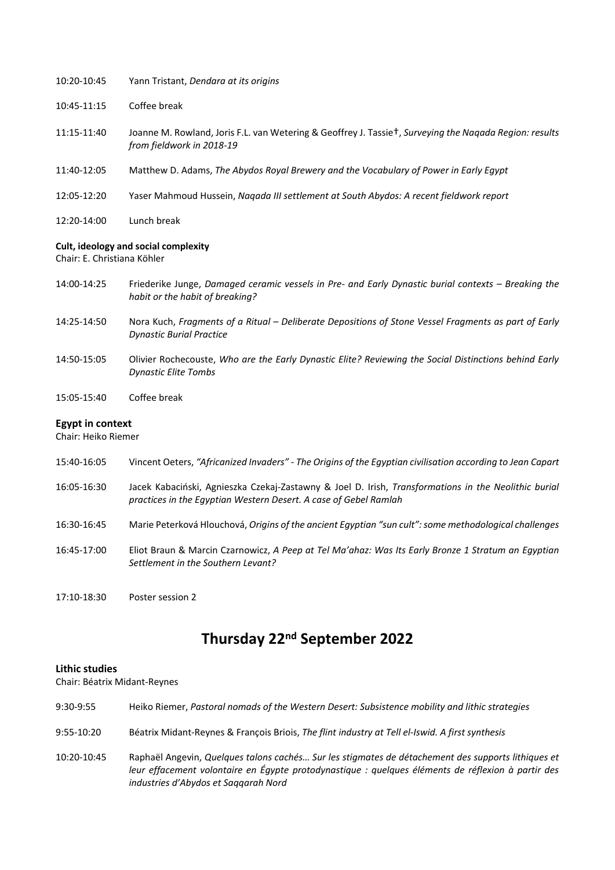| 10:20-10:45 | Yann Tristant, Dendara at its origins                                                                                                            |
|-------------|--------------------------------------------------------------------------------------------------------------------------------------------------|
| 10:45-11:15 | Coffee break                                                                                                                                     |
| 11:15-11:40 | Joanne M. Rowland, Joris F.L. van Wetering & Geoffrey J. Tassie <sup>t</sup> , Surveying the Nagada Region: results<br>from fieldwork in 2018-19 |
| 11:40-12:05 | Matthew D. Adams, The Abydos Royal Brewery and the Vocabulary of Power in Early Egypt                                                            |
| 12:05-12:20 | Yaser Mahmoud Hussein, Nagada III settlement at South Abydos: A recent fieldwork report                                                          |
| 12:20-14:00 | Lunch break                                                                                                                                      |

#### **Cult, ideology and social complexity**

Chair: E. Christiana Köhler

- 14:00-14:25 Friederike Junge, *Damaged ceramic vessels in Pre- and Early Dynastic burial contexts – Breaking the habit or the habit of breaking?*
- 14:25-14:50 Nora Kuch, *Fragments of a Ritual – Deliberate Depositions of Stone Vessel Fragments as part of Early Dynastic Burial Practice*
- 14:50-15:05 Olivier Rochecouste, *Who are the Early Dynastic Elite? Reviewing the Social Distinctions behind Early Dynastic Elite Tombs*
- 15:05-15:40 Coffee break

#### **Egypt in context**

Chair: Heiko Riemer

- 15:40-16:05 Vincent Oeters, *"Africanized Invaders" - The Origins of the Egyptian civilisation according to Jean Capart* 16:05-16:30 Jacek Kabaciński, Agnieszka Czekaj-Zastawny & Joel D. Irish, *Transformations in the Neolithic burial practices in the Egyptian Western Desert. A case of Gebel Ramlah* 16:30-16:45 Marie Peterková Hlouchová, *Origins of the ancient Egyptian "sun cult": some methodological challenges* 16:45-17:00 Eliot Braun & Marcin Czarnowicz, *A Peep at Tel Ma'ahaz: Was Its Early Bronze 1 Stratum an Egyptian Settlement in the Southern Levant?*
- 17:10-18:30 Poster session 2

# **Thursday 22nd September 2022**

#### **Lithic studies**

Chair: Béatrix Midant-Reynes

| 9:30-9:55   | Heiko Riemer, Pastoral nomads of the Western Desert: Subsistence mobility and lithic strategies                                                                                                                                                  |
|-------------|--------------------------------------------------------------------------------------------------------------------------------------------------------------------------------------------------------------------------------------------------|
| 9:55-10:20  | Béatrix Midant-Reynes & François Briois, The flint industry at Tell el-Iswid. A first synthesis                                                                                                                                                  |
| 10:20-10:45 | Raphaël Angevin, Quelques talons cachés Sur les stigmates de détachement des supports lithiques et<br>leur effacement volontaire en Égypte protodynastique : quelques éléments de réflexion à partir des<br>industries d'Abydos et Saggarah Nord |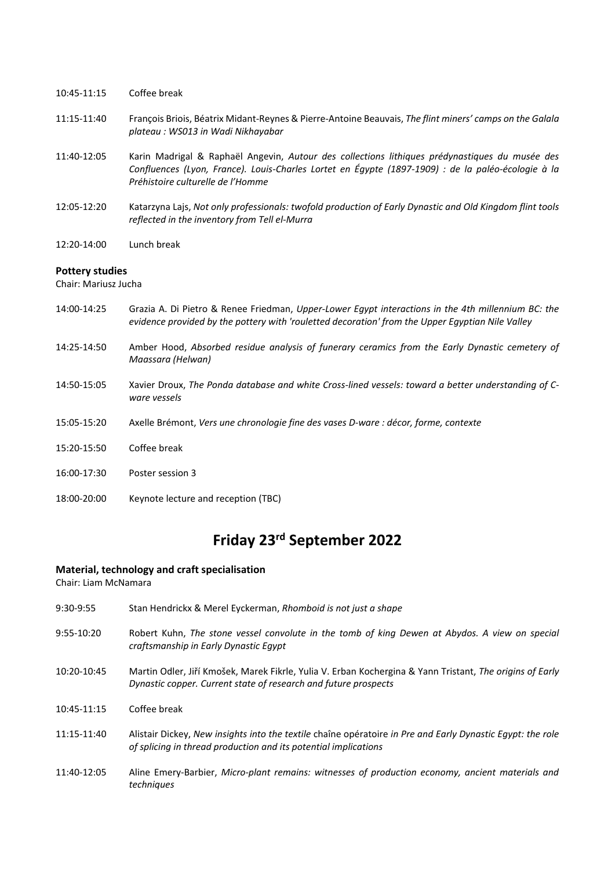- 10:45-11:15 Coffee break
- 11:15-11:40 François Briois, Béatrix Midant-Reynes & Pierre-Antoine Beauvais, *The flint miners' camps on the Galala plateau : WS013 in Wadi Nikhayabar*
- 11:40-12:05 Karin Madrigal & Raphaël Angevin, *Autour des collections lithiques prédynastiques du musée des Confluences (Lyon, France). Louis-Charles Lortet en Égypte (1897-1909) : de la paléo-écologie à la Préhistoire culturelle de l'Homme*
- 12:05-12:20 Katarzyna Lajs, *Not only professionals: twofold production of Early Dynastic and Old Kingdom flint tools reflected in the inventory from Tell el-Murra*
- 12:20-14:00 Lunch break

#### **Pottery studies**

Chair: Mariusz Jucha

- 14:00-14:25 Grazia A. Di Pietro & Renee Friedman, *Upper-Lower Egypt interactions in the 4th millennium BC: the evidence provided by the pottery with 'rouletted decoration' from the Upper Egyptian Nile Valley*
- 14:25-14:50 Amber Hood, *Absorbed residue analysis of funerary ceramics from the Early Dynastic cemetery of Maassara (Helwan)*
- 14:50-15:05 Xavier Droux, *The Ponda database and white Cross-lined vessels: toward a better understanding of Cware vessels*
- 15:05-15:20 Axelle Brémont, *Vers une chronologie fine des vases D-ware : décor, forme, contexte*
- 15:20-15:50 Coffee break
- 16:00-17:30 Poster session 3
- 18:00-20:00 Keynote lecture and reception (TBC)

# **Friday 23rd September 2022**

#### **Material, technology and craft specialisation**

Chair: Liam McNamara

| 9:30-9:55    | Stan Hendrickx & Merel Eyckerman, Rhomboid is not just a shape                                                                                                                |
|--------------|-------------------------------------------------------------------------------------------------------------------------------------------------------------------------------|
| $9:55-10:20$ | Robert Kuhn, The stone vessel convolute in the tomb of king Dewen at Abydos. A view on special<br>craftsmanship in Early Dynastic Eaypt                                       |
| 10:20-10:45  | Martin Odler, Jiří Kmošek, Marek Fikrle, Yulia V. Erban Kochergina & Yann Tristant, The origins of Early<br>Dynastic copper. Current state of research and future prospects   |
| 10:45-11:15  | Coffee break                                                                                                                                                                  |
| 11:15-11:40  | Alistair Dickey, New insights into the textile chaîne opératoire in Pre and Early Dynastic Egypt: the role<br>of splicing in thread production and its potential implications |
| 11:40-12:05  | Aline Emery-Barbier, Micro-plant remains: witnesses of production economy, ancient materials and<br>techniques                                                                |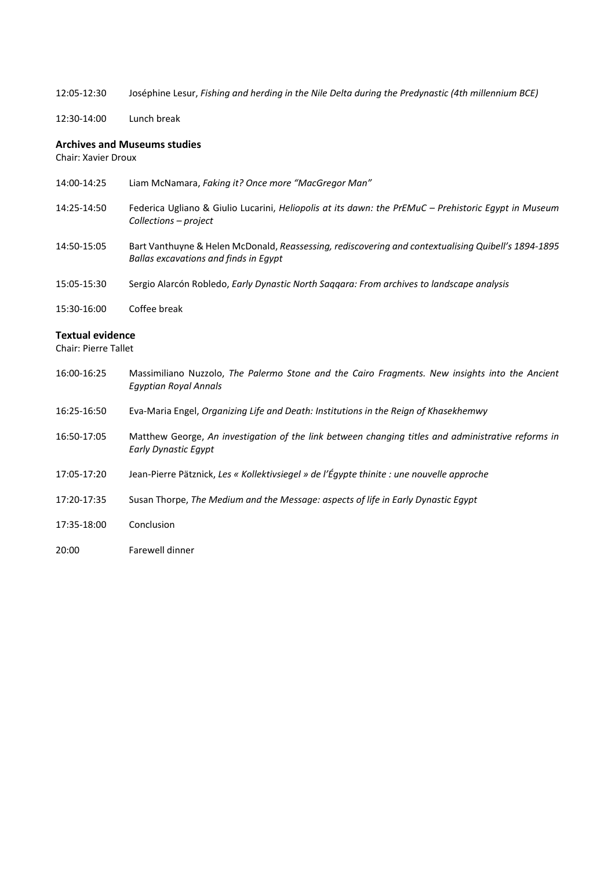12:05-12:30 Joséphine Lesur, *Fishing and herding in the Nile Delta during the Predynastic (4th millennium BCE)*

12:30-14:00 Lunch break

## **Archives and Museums studies**

Chair: Xavier Droux

| 14:00-14:25 | Liam McNamara, Faking it? Once more "MacGregor Man"                                                                                          |
|-------------|----------------------------------------------------------------------------------------------------------------------------------------------|
| 14:25-14:50 | Federica Ugliano & Giulio Lucarini, Heliopolis at its dawn: the PrEMuC – Prehistoric Egypt in Museum<br>Collections – project                |
| 14:50-15:05 | Bart Vanthuyne & Helen McDonald, Reassessing, rediscovering and contextualising Quibell's 1894-1895<br>Ballas excavations and finds in Egypt |
| 15:05-15:30 | Sergio Alarcón Robledo, Early Dynastic North Saggara: From archives to landscape analysis                                                    |
| 15:30-16:00 | Coffee break                                                                                                                                 |

## **Textual evidence**

Chair: Pierre Tallet

| 16:00-16:25 | Massimiliano Nuzzolo, The Palermo Stone and the Cairo Fragments. New insights into the Ancient<br><b>Egyptian Royal Annals</b> |
|-------------|--------------------------------------------------------------------------------------------------------------------------------|
| 16:25-16:50 | Eva-Maria Engel, Organizing Life and Death: Institutions in the Reign of Khasekhemwy                                           |
| 16:50-17:05 | Matthew George, An investigation of the link between changing titles and administrative reforms in<br>Early Dynastic Egypt     |
| 17:05-17:20 | Jean-Pierre Pätznick, Les « Kollektivsiegel » de l'Égypte thinite : une nouvelle approche                                      |
| 17:20-17:35 | Susan Thorpe, The Medium and the Message: aspects of life in Early Dynastic Egypt                                              |
| 17:35-18:00 | Conclusion                                                                                                                     |
| 20:00       | Farewell dinner                                                                                                                |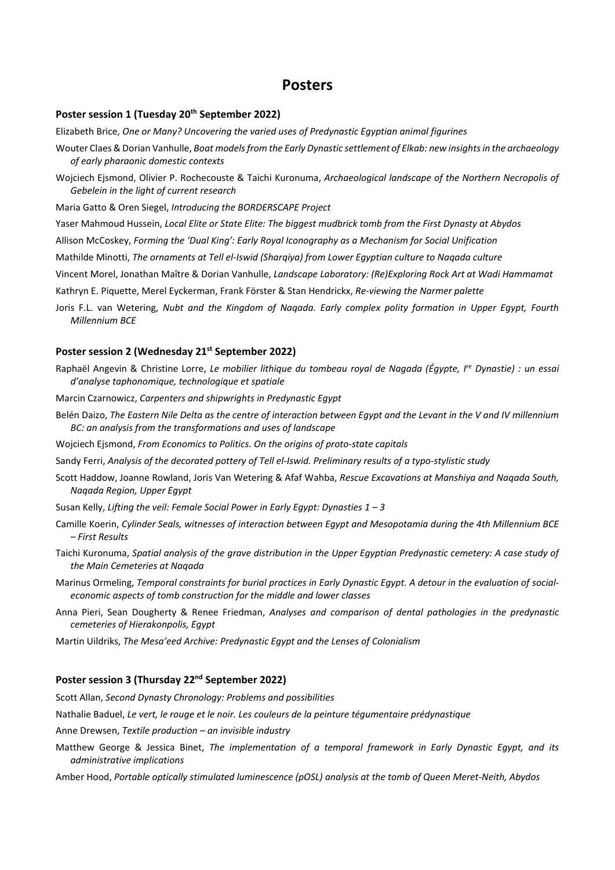## **Posters**

## **Poster session 1 (Tuesday 20th September 2022)**

Elizabeth Brice, *One or Many? Uncovering the varied uses of Predynastic Egyptian animal figurines*

- Wouter Claes & Dorian Vanhulle, *Boat models from the Early Dynastic settlement of Elkab: new insights in the archaeology of early pharaonic domestic contexts*
- Wojciech Ejsmond, Olivier P. Rochecouste & Taichi Kuronuma, *Archaeological landscape of the Northern Necropolis of Gebelein in the light of current research*

Maria Gatto & Oren Siegel, *Introducing the BORDERSCAPE Project*

Yaser Mahmoud Hussein, *Local Elite or State Elite: The biggest mudbrick tomb from the First Dynasty at Abydos*

Allison McCoskey, *Forming the 'Dual King': Early Royal Iconography as a Mechanism for Social Unification*

Mathilde Minotti, *The ornaments at Tell el-Iswid (Sharqiya) from Lower Egyptian culture to Naqada culture*

Vincent Morel, Jonathan Maître & Dorian Vanhulle, *Landscape Laboratory: (Re)Exploring Rock Art at Wadi Hammamat*

Kathryn E. Piquette, Merel Eyckerman, Frank Förster & Stan Hendrickx, *Re-viewing the Narmer palette*

Joris F.L. van Wetering, *Nubt and the Kingdom of Naqada. Early complex polity formation in Upper Egypt, Fourth Millennium BCE*

#### **Poster session 2 (Wednesday 21st September 2022)**

- Raphaël Angevin & Christine Lorre, *Le mobilier lithique du tombeau royal de Nagada (Égypte, Ire Dynastie) : un essai d'analyse taphonomique, technologique et spatiale*
- Marcin Czarnowicz, *Carpenters and shipwrights in Predynastic Egypt*
- Belén Daizo, *The Eastern Nile Delta as the centre of interaction between Egypt and the Levant in the V and IV millennium BC: an analysis from the transformations and uses of landscape*
- Wojciech Ejsmond, *From Economics to Politics. On the origins of proto-state capitals*
- Sandy Ferri, *Analysis of the decorated pottery of Tell el-Iswid. Preliminary results of a typo-stylistic study*
- Scott Haddow, Joanne Rowland, Joris Van Wetering & Afaf Wahba, *Rescue Excavations at Manshiya and Naqada South, Naqada Region, Upper Egypt*
- Susan Kelly, *Lifting the veil: Female Social Power in Early Egypt: Dynasties 1 3*
- Camille Koerin, *Cylinder Seals, witnesses of interaction between Egypt and Mesopotamia during the 4th Millennium BCE – First Results*
- Taichi Kuronuma, *Spatial analysis of the grave distribution in the Upper Egyptian Predynastic cemetery: A case study of the Main Cemeteries at Naqada*
- Marinus Ormeling, *Temporal constraints for burial practices in Early Dynastic Egypt. A detour in the evaluation of socialeconomic aspects of tomb construction for the middle and lower classes*
- Anna Pieri, Sean Dougherty & Renee Friedman, *Analyses and comparison of dental pathologies in the predynastic cemeteries of Hierakonpolis, Egypt*
- Martin Uildriks, *The Mesa'eed Archive: Predynastic Egypt and the Lenses of Colonialism*

#### **Poster session 3 (Thursday 22nd September 2022)**

Scott Allan, *Second Dynasty Chronology: Problems and possibilities*

Nathalie Baduel, *Le vert, le rouge et le noir. Les couleurs de la peinture tégumentaire prédynastique*

Anne Drewsen, *Textile production – an invisible industry*

Matthew George & Jessica Binet, *The implementation of a temporal framework in Early Dynastic Egypt, and its administrative implications*

Amber Hood, *Portable optically stimulated luminescence (pOSL) analysis at the tomb of Queen Meret-Neith, Abydos*